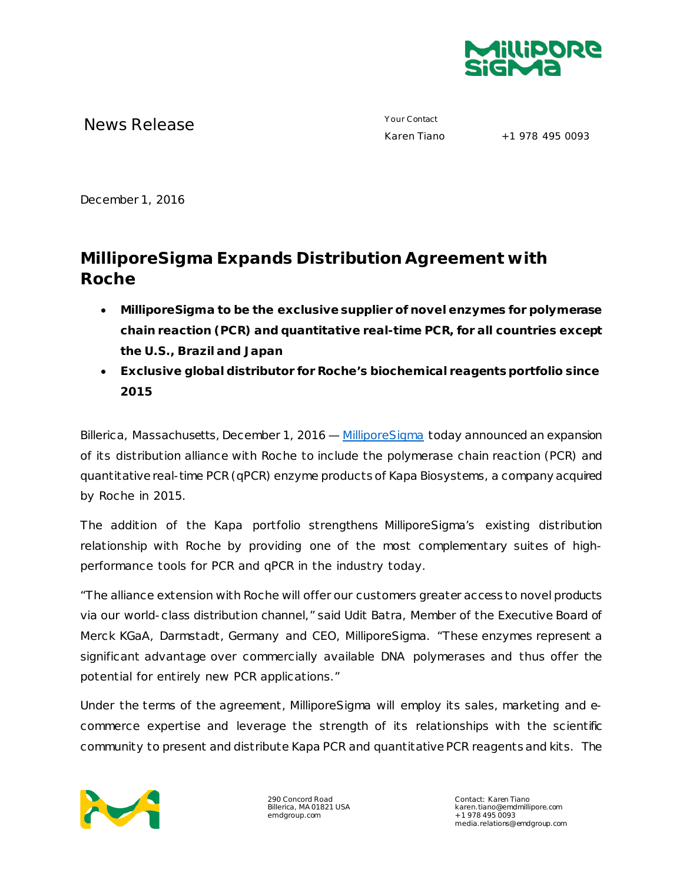

News Release **Your Contact**<br> **News Release** Maren Tiano

+1 978 495 0093

December 1, 2016

## **MilliporeSigma Expands Distribution Agreement with Roche**

- **MilliporeSigma to be the exclusive supplier of novel enzymes for polymerase chain reaction (PCR) and quantitative real-time PCR, for all countries except the U.S., Brazil and Japan**
- **Exclusive global distributor for Roche's biochemical reagents portfolio since 2015**

Billerica, Massachusetts, December 1, 2016 — [MilliporeSigma](http://www.emdgroup.com/emd/products/life_science/life_science.html) today announced an expansion of its distribution alliance with Roche to include the polymerase chain reaction (PCR) and quantitative real-time PCR (qPCR) enzyme products of Kapa Biosystems, a company acquired by Roche in 2015.

The addition of the Kapa portfolio strengthens MilliporeSigma's existing distribution relationship with Roche by providing one of the most complementary suites of highperformance tools for PCR and qPCR in the industry today.

"The alliance extension with Roche will offer our customers greater access to novel products via our world-class distribution channel," said Udit Batra, Member of the Executive Board of Merck KGaA, Darmstadt, Germany and CEO, MilliporeSigma. "These enzymes represent a significant advantage over commercially available DNA polymerases and thus offer the potential for entirely new PCR applications."

Under the terms of the agreement, MilliporeSigma will employ its sales, marketing and ecommerce expertise and leverage the strength of its relationships with the scientific community to present and distribute Kapa PCR and quantitative PCR reagents and kits. The



290 Concord Road Billerica, MA 01821 USA emdgroup.com